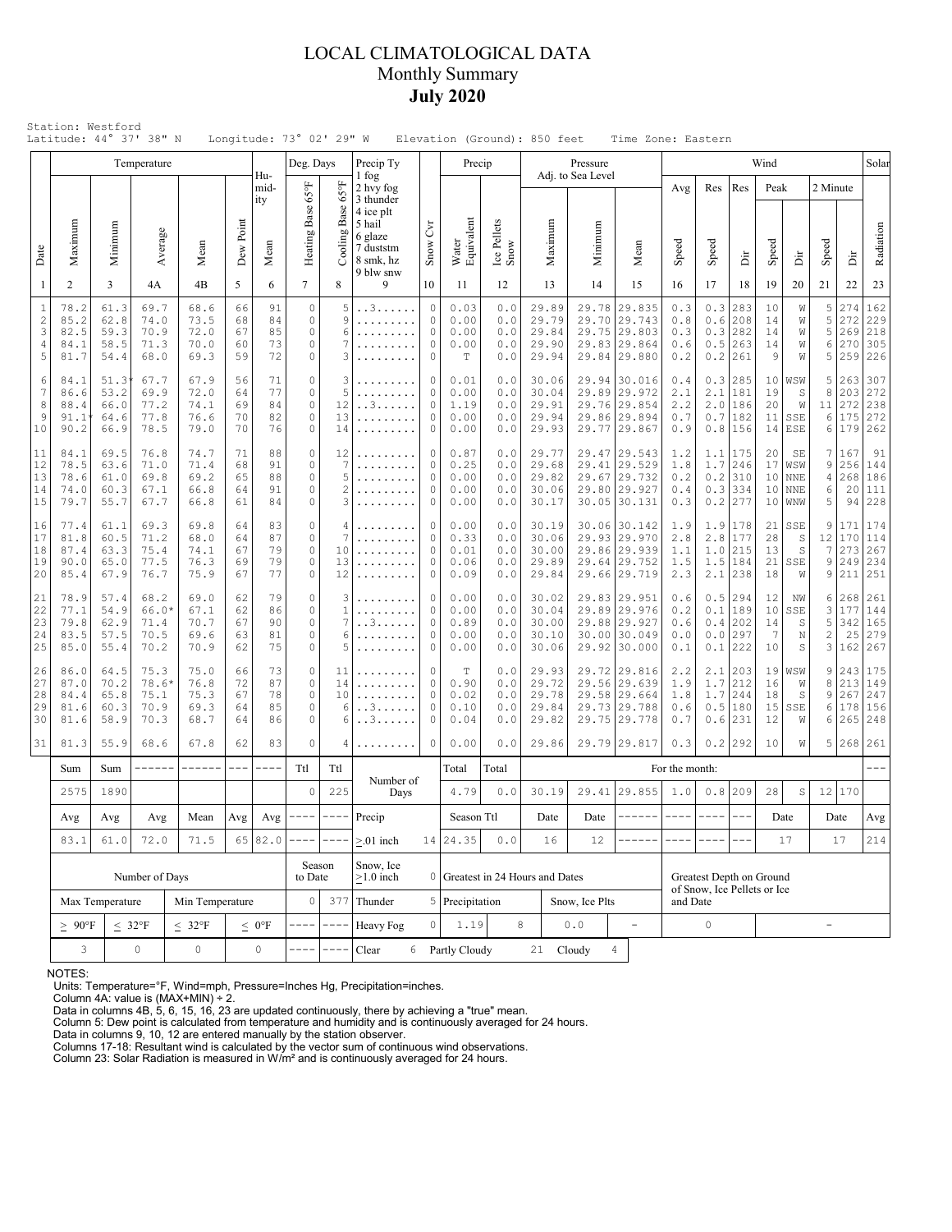## LOCAL CLIMATOLOGICAL DATA Monthly Summary **July 2020**

|                                               |                                                                 |                                                                                                                                                                                                                                                                                                                                                                                                                                                                                     | Temperature                             |                                      |                            |                            | Deg. Days                                   |                                     | Precip Ty                                                |                                                          | Precip                                       |                                 |                                           | Pressure                 |                                                                                                                                                                                                                                                                                                                                                                                              |                                                                              |                                 |                             |                                                             | Wind                       |                                                      |                                    |                                 | Solar                               |
|-----------------------------------------------|-----------------------------------------------------------------|-------------------------------------------------------------------------------------------------------------------------------------------------------------------------------------------------------------------------------------------------------------------------------------------------------------------------------------------------------------------------------------------------------------------------------------------------------------------------------------|-----------------------------------------|--------------------------------------|----------------------------|----------------------------|---------------------------------------------|-------------------------------------|----------------------------------------------------------|----------------------------------------------------------|----------------------------------------------|---------------------------------|-------------------------------------------|--------------------------|----------------------------------------------------------------------------------------------------------------------------------------------------------------------------------------------------------------------------------------------------------------------------------------------------------------------------------------------------------------------------------------------|------------------------------------------------------------------------------|---------------------------------|-----------------------------|-------------------------------------------------------------|----------------------------|------------------------------------------------------|------------------------------------|---------------------------------|-------------------------------------|
|                                               |                                                                 |                                                                                                                                                                                                                                                                                                                                                                                                                                                                                     |                                         |                                      |                            | Hu-<br>mid-<br>ity         |                                             | 159                                 | 1 fog<br>2 hvy fog<br>3 thunder<br>4 ice plt             |                                                          |                                              |                                 |                                           | Adj. to Sea Level        |                                                                                                                                                                                                                                                                                                                                                                                              |                                                                              | Avg                             | Res                         | Res                                                         | Peak                       |                                                      | 2 Minute                           |                                 |                                     |
| Date                                          | Maximum                                                         | Minimum                                                                                                                                                                                                                                                                                                                                                                                                                                                                             | Average                                 | Mean                                 | Dew Point                  | Mean                       | Heating Base 65°F                           | Cooling Base                        | 5 hail<br>6 glaze<br>7 duststm<br>8 smk, hz<br>9 blw snw | Snow Cyr                                                 | Water<br>Equivalent                          | Ice Pellets<br>Snow             | Maximum                                   |                          | Minimum                                                                                                                                                                                                                                                                                                                                                                                      | Mean                                                                         | Speed                           | Speed                       | Èř                                                          | Speed                      | ă                                                    | Speed                              | ă                               | Radiation                           |
| -1                                            | 2                                                               | 3                                                                                                                                                                                                                                                                                                                                                                                                                                                                                   | 4A                                      | 4B                                   | 5                          | 6                          | $7\overline{ }$                             | 8                                   | 9                                                        | 10                                                       | 11                                           | 12                              | 13                                        |                          | 14                                                                                                                                                                                                                                                                                                                                                                                           | 15                                                                           | 16                              | 17                          | 18                                                          | 19                         | 20                                                   | 21                                 | 22                              | 23                                  |
| $\mathbf{1}$<br>$\overline{c}$<br>3<br>4<br>5 | 78.2<br>85.2<br>82.5<br>84.1<br>81.7                            | 61.3<br>62.8<br>59.3<br>58.5<br>54.4                                                                                                                                                                                                                                                                                                                                                                                                                                                | 69.7<br>74.0<br>70.9<br>71.3<br>68.0    | 68.6<br>73.5<br>72.0<br>70.0<br>69.3 | 66<br>68<br>67<br>60<br>59 | 91<br>84<br>85<br>73<br>72 | $\circ$<br>$\circ$<br>0<br>0<br>0           | 5<br>9<br>6<br>7<br>3               | . . 3<br>.                                               | $\circ$<br>$\Omega$<br>0<br>$\circ$<br>$\circ$           | 0.03<br>0.00<br>0.00<br>0.00<br>Т            | 0.0<br>0.0<br>0.0<br>0.0<br>0.0 | 29.89<br>29.79<br>29.84<br>29.90<br>29.94 |                          | 29.78<br>29.70                                                                                                                                                                                                                                                                                                                                                                               | 29.835<br>29.743<br>29.75 29.803<br>29.83 29.864<br>29.84 29.880             | 0.3<br>0.8<br>0.3<br>0.6<br>0.2 | $0.3$<br>0.6<br>0.5         | 283<br>208<br>0.3 282<br>263<br>$0.2$ 261                   | 10<br>14<br>14<br>14<br>9  | W<br>W<br>W<br>W<br>W                                | 5<br>5<br>5<br>6<br>5              | 274<br>272<br>269<br>270<br>259 | 162<br>229<br>218<br>305<br>226     |
| 6<br>7<br>8<br>9<br>10                        | 84.1<br>86.6<br>88.4<br>91.1<br>90.2                            | 51.3<br>53.2<br>66.0<br>64.6<br>66.9                                                                                                                                                                                                                                                                                                                                                                                                                                                | 67.7<br>69.9<br>77.2<br>77.8<br>78.5    | 67.9<br>72.0<br>74.1<br>76.6<br>79.0 | 56<br>64<br>69<br>70<br>70 | 71<br>77<br>84<br>82<br>76 | $\circ$<br>0<br>0<br>0<br>0                 | 3<br>5<br>12<br>13<br>14            | . . 3<br>.                                               | 0<br>0<br>$\Omega$<br>$\circ$<br>$\circ$                 | 0.01<br>0.00<br>1.19<br>0.00<br>0.00         | 0.0<br>0.0<br>0.0<br>0.0<br>0.0 | 30.06<br>30.04<br>29.91<br>29.94<br>29.93 |                          |                                                                                                                                                                                                                                                                                                                                                                                              | 29.94 30.016<br>29.89 29.972<br>29.76 29.854<br>29.86 29.894<br>29.77 29.867 | 0.4<br>2.1<br>2.2<br>0.7<br>0.9 | 2.1                         | 0.3 285<br>181<br>$2.0$  186<br>0.7 182<br>0.8 156          | 19<br>20<br>11             | 10 WSW<br>S<br>W<br>SSE<br>$14$ ESE                  | 5<br>8<br>11<br>6<br>6             | 263<br>203<br>272<br>175<br>179 | 307<br>272<br>238<br>272<br>262     |
| 11<br>12<br>13<br>14<br>15                    | 84.1<br>78.5<br>78.6<br>74.0<br>79.7                            | 69.5<br>63.6<br>61.0<br>60.3<br>55.7                                                                                                                                                                                                                                                                                                                                                                                                                                                | 76.8<br>71.0<br>69.8<br>67.1<br>67.7    | 74.7<br>71.4<br>69.2<br>66.8<br>66.8 | 71<br>68<br>65<br>64<br>61 | 88<br>91<br>88<br>91<br>84 | $\circ$<br>0<br>$\circ$<br>0<br>0           | 12<br>7<br>5<br>$\overline{c}$<br>3 | .<br>.<br>.<br>.                                         | $\circ$<br>$\circ$<br>$\circ$<br>$\circ$<br>$\circ$      | 0.87<br>0.25<br>0.00<br>0.00<br>0.00         | 0.0<br>0.0<br>0.0<br>0.0<br>0.0 | 29.77<br>29.68<br>29.82<br>30.06<br>30.17 |                          |                                                                                                                                                                                                                                                                                                                                                                                              | 29.47 29.543<br>29.41 29.529<br>29.67 29.732<br>29.80 29.927<br>30.05 30.131 | 1.2<br>1.8<br>0.2<br>0.4<br>0.3 | 1.7                         | $1.1$   175<br>246<br>$0.2$ 310<br>$0.3$ 334<br>$0.2$   277 | 20<br>17<br>10<br>10<br>10 | SE<br> WSW<br><b>NNE</b><br><b>NNE</b><br><b>WNW</b> | 7<br>9<br>4<br>6<br>5              | 167<br>256<br>268<br>20         | 91<br>144<br>186<br>111<br>94   228 |
| 16<br>17<br>18<br>19<br>20                    | 77.4<br>81.8<br>87.4<br>90.0<br>85.4                            | 61.1<br>60.5<br>63.3<br>65.0<br>67.9                                                                                                                                                                                                                                                                                                                                                                                                                                                | 69.3<br>71.2<br>75.4<br>77.5<br>76.7    | 69.8<br>68.0<br>74.1<br>76.3<br>75.9 | 64<br>64<br>67<br>69<br>67 | 83<br>87<br>79<br>79<br>77 | $\circ$<br>0<br>0<br>0<br>0                 | 4<br>7<br>10<br>13<br>12            | .                                                        | 0<br>0<br>$\circ$<br>$\circ$<br>0                        | 0.00<br>0.33<br>0.01<br>0.06<br>0.09         | 0.0<br>0.0<br>0.0<br>0.0<br>0.0 | 30.19<br>30.06<br>30.00<br>29.89<br>29.84 |                          |                                                                                                                                                                                                                                                                                                                                                                                              | 30.06 30.142<br>29.93 29.970<br>29.86 29.939<br>29.64 29.752<br>29.66 29.719 | 1.9<br>2.8<br>1.1<br>1.5<br>2.3 | 2.8<br>1.0<br>1.5           | $1.9$   178<br>177<br>215<br> 184<br>$2.1$   238            | 21<br>28<br>13<br>21<br>18 | SSE<br>S<br>S<br>SSE<br>W                            | 9<br>12<br>7<br>9<br>9             | 171<br>170<br>273<br>249<br>211 | 174<br>114<br>267<br>234<br>251     |
| 21<br>22<br>23<br>24<br>25                    | 78.9<br>77.1<br>79.8<br>83.5<br>85.0                            | 57.4<br>54.9<br>62.9<br>57.5<br>55.4                                                                                                                                                                                                                                                                                                                                                                                                                                                | 68.2<br>66.0*<br>71.4<br>70.5<br>70.2   | 69.0<br>67.1<br>70.7<br>69.6<br>70.9 | 62<br>62<br>67<br>63<br>62 | 79<br>86<br>90<br>81<br>75 | $\circ$<br>$\circ$<br>0<br>0<br>0           | 3<br>$\mathbf{1}$<br>7<br>6<br>5    | . . 3.<br>.                                              | $\circ$<br>$\circ$<br>$\circ$<br>0<br>0                  | 0.00<br>0.00<br>0.89<br>0.00<br>0.00         | 0.0<br>0.0<br>0.0<br>0.0<br>0.0 | 30.02<br>30.04<br>30.00<br>30.10<br>30.06 |                          |                                                                                                                                                                                                                                                                                                                                                                                              | 29.83 29.951<br>29.89 29.976<br>29.88 29.927<br>30.00 30.049<br>29.92 30.000 | 0.6<br>0.2<br>0.6<br>0.0<br>0.1 | 0.1                         | $0.5$  294<br>189<br>$0.4$ 202<br>$0.0$  297<br>$0.1$   222 | 12<br>10<br>14<br>7<br>10  | ΝW<br>SSE<br>S<br>N<br>S                             | 6<br>3<br>5<br>$\overline{c}$<br>3 | 268<br>177<br>342<br>25<br>162  | 261<br>144<br>165<br>279<br>267     |
| 26<br>27<br>28<br>29<br>30                    | 86.0<br>87.0<br>84.4<br>81.6<br>81.6                            | 64.5<br>70.2<br>65.8<br>60.3<br>58.9                                                                                                                                                                                                                                                                                                                                                                                                                                                | 75.3<br>$78.6*$<br>75.1<br>70.9<br>70.3 | 75.0<br>76.8<br>75.3<br>69.3<br>68.7 | 66<br>72<br>67<br>64<br>64 | 73<br>87<br>78<br>85<br>86 | $\circ$<br>0<br>$\circ$<br>0<br>$\circ$     | 11<br>14<br>10<br>6<br>6            | . . 3.<br>. . 3. .                                       | $\circ$<br>$\circ$<br>$\mathbf{0}$<br>$\circ$<br>$\circ$ | $\mathbb T$<br>0.90<br>0.02<br>0.10<br>0.04  | 0.0<br>0.0<br>0.0<br>0.0<br>0.0 | 29.93<br>29.72<br>29.78<br>29.84<br>29.82 |                          | 29.56                                                                                                                                                                                                                                                                                                                                                                                        | 29.72 29.816<br>29.639<br>29.58 29.664<br>29.73 29.788<br>29.75 29.778       | 2.2<br>1.9<br>1.8<br>0.6<br>0.7 | 2.1<br>1.7<br>0.5<br>0.6    | 203<br>212<br>$1.7$   244<br> 180<br>231                    | 16<br>18<br>15<br>12       | 19 WSW<br>W<br>S<br>SSE<br>W                         | 9<br>8<br>9<br>6<br>6              | 243<br>213<br>267<br>178<br>265 | 175<br>149<br>247<br>156<br>248     |
| 31                                            | 81.3                                                            | 55.9                                                                                                                                                                                                                                                                                                                                                                                                                                                                                | 68.6                                    | 67.8                                 | 62                         | 83                         | 0                                           | 4                                   |                                                          | $\circ$                                                  | 0.00                                         | 0.0                             | 29.86                                     |                          |                                                                                                                                                                                                                                                                                                                                                                                              | 29.79 29.817                                                                 | 0.3                             |                             | $0.2$  292                                                  | 10                         | W                                                    | 5                                  | 268 261                         |                                     |
|                                               | Sum                                                             | Sum                                                                                                                                                                                                                                                                                                                                                                                                                                                                                 | ------                                  | ------                               | $\frac{1}{2}$              |                            | Ttl                                         | Ttl                                 | Number of                                                |                                                          | Total<br>4.79                                | Total                           |                                           |                          |                                                                                                                                                                                                                                                                                                                                                                                              |                                                                              | For the month:                  |                             |                                                             |                            |                                                      |                                    |                                 |                                     |
|                                               | 2575                                                            | 1890                                                                                                                                                                                                                                                                                                                                                                                                                                                                                |                                         |                                      |                            |                            | $\circ$                                     | 225                                 | Days                                                     |                                                          |                                              | 0.0                             | 30.19                                     |                          |                                                                                                                                                                                                                                                                                                                                                                                              | 29.41 29.855                                                                 | 1.0                             | 0.8                         | 209                                                         | 28                         | $\rm S$                                              | 12                                 | 170                             |                                     |
|                                               | $\operatorname{Avg}$                                            | $Avg \mid --- \mid$<br>$\frac{1}{2} \frac{1}{2} \frac{1}{2} \frac{1}{2} \frac{1}{2} \frac{1}{2} \frac{1}{2} \frac{1}{2} \frac{1}{2} \frac{1}{2} \frac{1}{2} \frac{1}{2} \frac{1}{2} \frac{1}{2} \frac{1}{2} \frac{1}{2} \frac{1}{2} \frac{1}{2} \frac{1}{2} \frac{1}{2} \frac{1}{2} \frac{1}{2} \frac{1}{2} \frac{1}{2} \frac{1}{2} \frac{1}{2} \frac{1}{2} \frac{1}{2} \frac{1}{2} \frac{1}{2} \frac{1}{2} \frac{$<br>Avg<br>Avg<br>Mean<br>Avg<br>65 82.0<br>72.0<br>71.5<br>61.0 |                                         |                                      |                            |                            | Precip                                      |                                     | Season Ttl                                               |                                                          | Date                                         |                                 | Date                                      | -------                  | $\frac{1}{2} \frac{1}{2} \frac{1}{2} \frac{1}{2} \frac{1}{2} \frac{1}{2} \frac{1}{2} \frac{1}{2} \frac{1}{2} \frac{1}{2} \frac{1}{2} \frac{1}{2} \frac{1}{2} \frac{1}{2} \frac{1}{2} \frac{1}{2} \frac{1}{2} \frac{1}{2} \frac{1}{2} \frac{1}{2} \frac{1}{2} \frac{1}{2} \frac{1}{2} \frac{1}{2} \frac{1}{2} \frac{1}{2} \frac{1}{2} \frac{1}{2} \frac{1}{2} \frac{1}{2} \frac{1}{2} \frac{$ | $- - - -$                                                                    | $---$                           |                             | Date                                                        |                            | Date                                                 | Avg                                |                                 |                                     |
|                                               | 83.1                                                            | Number of Days                                                                                                                                                                                                                                                                                                                                                                                                                                                                      |                                         |                                      | Season<br>to Date          |                            | $> 01$ inch<br>Snow, Ice<br>$\geq$ 1.0 inch |                                     | 14 24.35                                                 | $0.0$                                                    | 16<br>12<br>0 Greatest in 24 Hours and Dates |                                 |                                           | Greatest Depth on Ground |                                                                                                                                                                                                                                                                                                                                                                                              |                                                                              |                                 | 17                          |                                                             | 17                         | 214                                                  |                                    |                                 |                                     |
|                                               | Max Temperature<br>Min Temperature                              |                                                                                                                                                                                                                                                                                                                                                                                                                                                                                     |                                         |                                      |                            |                            | 0                                           | 377                                 | Thunder                                                  |                                                          | 5 Precipitation                              |                                 |                                           | Snow, Ice Plts           |                                                                                                                                                                                                                                                                                                                                                                                              |                                                                              | and Date                        | of Snow, Ice Pellets or Ice |                                                             |                            |                                                      |                                    |                                 |                                     |
|                                               | $\geq 90^{\circ}$ F<br>$\leq 32^{\circ}F$<br>$\leq 32^{\circ}F$ |                                                                                                                                                                                                                                                                                                                                                                                                                                                                                     |                                         |                                      |                            | $\leq 0$ °F                |                                             | $-$                                 | Heavy Fog                                                | 1.19                                                     |                                              | 8<br>${\bf 0}$ . ${\bf 0}$      |                                           |                          | $\equiv$                                                                                                                                                                                                                                                                                                                                                                                     | 0                                                                            |                                 |                             | $\overline{a}$                                              |                            |                                                      |                                    |                                 |                                     |
|                                               | 3                                                               | $\circ$                                                                                                                                                                                                                                                                                                                                                                                                                                                                             |                                         | $\mathbb O$                          |                            |                            | Clear<br>6                                  |                                     | Partly Cloudy                                            |                                                          | 21                                           | Cloudy                          |                                           | $\overline{4}$           |                                                                                                                                                                                                                                                                                                                                                                                              |                                                                              |                                 |                             |                                                             |                            |                                                      |                                    |                                 |                                     |

NOTES:

Units: Temperature=°F, Wind=mph, Pressure=Inches Hg, Precipitation=inches. Column 4A: value is (MAX+MIN) ÷ 2. Data in columns 4B, 5, 6, 15, 16, 23 are updated continuously, there by achieving a "true" mean.

Column 5: Dew point is calculated from temperature and humidity and is continuously averaged for 24 hours. Data in columns 9, 10, 12 are entered manually by the station observer.

Columns 17-18: Resultant wind is calculated by the vector sum of continuous wind observations. Column 23: Solar Radiation is measured in W/m² and is continuously averaged for 24 hours.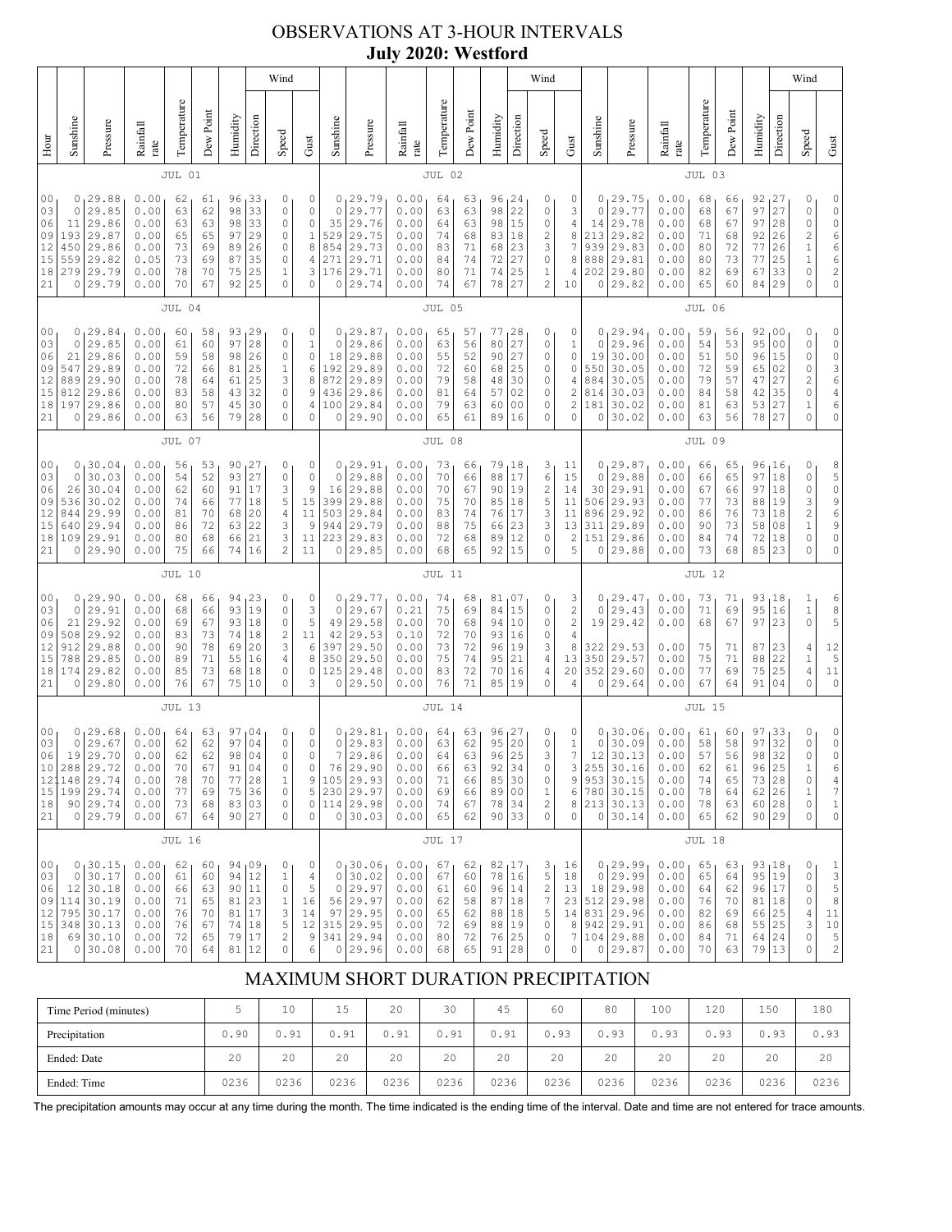## OBSERVATIONS AT 3-HOUR INTERVALS **July 2020: Westford**

|                                                          |                                                         |                                                                                    |                                                              |                                              |                                              |                                              |                                                                                | Wind                                                                                            |                                                                                        |                                                         |                                                                             |                                                              |                                              |                                              |                                                      |                                                                              | Wind                                                                            |                                                       |                                               |                                                                                          |                                                              |                                              |                                              |                                                           |                                                                      | Wind                                                                 |                                                                                                                                                                                  |
|----------------------------------------------------------|---------------------------------------------------------|------------------------------------------------------------------------------------|--------------------------------------------------------------|----------------------------------------------|----------------------------------------------|----------------------------------------------|--------------------------------------------------------------------------------|-------------------------------------------------------------------------------------------------|----------------------------------------------------------------------------------------|---------------------------------------------------------|-----------------------------------------------------------------------------|--------------------------------------------------------------|----------------------------------------------|----------------------------------------------|------------------------------------------------------|------------------------------------------------------------------------------|---------------------------------------------------------------------------------|-------------------------------------------------------|-----------------------------------------------|------------------------------------------------------------------------------------------|--------------------------------------------------------------|----------------------------------------------|----------------------------------------------|-----------------------------------------------------------|----------------------------------------------------------------------|----------------------------------------------------------------------|----------------------------------------------------------------------------------------------------------------------------------------------------------------------------------|
| Hour                                                     | Sunshine                                                | Pressure                                                                           | Rainfall<br>rate                                             | Temperature                                  | Dew Point                                    | Humidity                                     | Direction                                                                      | Speed                                                                                           | Gust                                                                                   | Sunshine                                                | Pressure                                                                    | Rainfall<br>rate                                             | Temperature                                  | Dew Point                                    | Humidity                                             | Direction                                                                    | Speed                                                                           | Gust                                                  | Sunshine                                      | Pressure                                                                                 | Rainfall<br>rate                                             | Temperature                                  | Dew Point                                    | Humidity                                                  | Direction                                                            | Speed                                                                | Gust                                                                                                                                                                             |
|                                                          |                                                         |                                                                                    |                                                              | JUL 01                                       |                                              |                                              |                                                                                |                                                                                                 |                                                                                        |                                                         |                                                                             |                                                              | JUL 02                                       |                                              |                                                      |                                                                              |                                                                                 |                                                       |                                               |                                                                                          |                                                              | JUL 03                                       |                                              |                                                           |                                                                      |                                                                      |                                                                                                                                                                                  |
| 0 <sub>0</sub><br>03<br>06<br>09<br>12<br>15<br>18<br>21 | 0<br>0<br>11<br>193<br>450<br>559<br>279<br>0           | 29.88<br>29.85<br>29.86<br>29.87<br>29.86<br>29.82<br>29.79<br>29.79               | 0.00<br>0.00<br>0.00<br>0.00<br>0.00<br>0.05<br>0.00<br>0.00 | 62<br>63<br>63<br>65<br>73<br>73<br>78<br>70 | 61<br>62<br>63<br>65<br>69<br>69<br>70<br>67 | 96<br>98<br>98<br>97<br>89<br>87<br>75<br>92 | 33<br>33<br>33<br>29<br>26<br>35<br>25<br>25                                   | 0<br>0<br>$\circ$<br>0<br>0<br>0<br>$\mathbf 1$<br>$\circ$                                      | 0<br>0<br>$\circ$<br>$\mathbf 1$<br>8<br>4<br>3<br>$\circ$                             | 0<br>0<br>35<br>529<br>854<br>271<br>176<br>0           | 29.79<br>29.77<br>29.76<br>29.75<br>29.73<br>29.71<br>29.71<br>29.74        | 0.00<br>0.00<br>0.00<br>0.00<br>0.00<br>0.00<br>0.00<br>0.00 | 64<br>63<br>64<br>74<br>83<br>84<br>80<br>74 | 63<br>63<br>63<br>68<br>71<br>74<br>71<br>67 | 96<br>98<br>98<br>83<br>68<br>72<br>74<br>78         | 124<br>22<br>15<br>18<br>23<br>27<br>25<br>27                                | 0<br>0<br>0<br>2<br>3<br>$\mathbb O$<br>1<br>$\overline{c}$                     | 0<br>3<br>4<br>8<br>7<br>8<br>4<br>10                 | 0<br>0<br>14<br>213<br>939<br>888<br>202<br>0 | 29.75<br>29.77<br>29.78<br>29.82<br>29.83<br>29.81<br>29.80<br>29.82                     | 0.00<br>0.00<br>0.00<br>0.00<br>0.00<br>0.00<br>0.00<br>0.00 | 68<br>68<br>68<br>71<br>80<br>80<br>82<br>65 | 66<br>67<br>67<br>68<br>72<br>73<br>69<br>60 | 92<br>97<br>97<br>92<br>77<br>77<br>67<br>84              | 27<br>27<br>28<br>26<br>26<br>25<br>33<br>29                         | 0<br>0<br>0<br>$\overline{\mathbf{c}}$<br>$\,1$<br>$\,1\,$<br>0<br>0 | 0<br>0<br>$\mathbb O$<br>6<br>6<br>6<br>$\overline{c}$<br>$\mathbb O$                                                                                                            |
|                                                          |                                                         |                                                                                    |                                                              | JUL 04                                       |                                              |                                              |                                                                                |                                                                                                 |                                                                                        |                                                         |                                                                             |                                                              | JUL 05                                       |                                              |                                                      |                                                                              |                                                                                 |                                                       |                                               |                                                                                          |                                                              | JUL 06                                       |                                              |                                                           |                                                                      |                                                                      |                                                                                                                                                                                  |
| 00<br>03<br>06<br>09<br>12<br>15<br>18<br>21             | 0<br>$\mathbf 0$<br>21<br>547<br>889<br>812<br>197<br>0 | 29.84<br>29.85<br>29.86<br>29.89<br>29.90<br>29.86<br>29.86<br>29.86               | 0.00<br>0.00<br>0.00<br>0.00<br>0.00<br>0.00<br>0.00<br>0.00 | 60<br>61<br>59<br>72<br>78<br>83<br>80<br>63 | 58<br>60<br>58<br>66<br>64<br>58<br>57<br>56 | 93<br>97<br>98<br>81<br>61<br>43<br>45<br>79 | 129<br>28<br>26<br>25<br>25<br>32<br>30<br>28                                  | 0<br>$\circ$<br>$\circ$<br>$\mathbf{1}$<br>3<br>0<br>0<br>$\mathbf{0}$                          | 0<br>$\mathbf{1}$<br>$\mathbb O$<br>6<br>8<br>9<br>4<br>$\circ$                        | 0<br>$\circ$<br>18<br>192<br>872<br>436<br>100<br>0     | 129.87<br>29.86<br>29.88<br>29.89<br>29.89<br>29.86<br>29.84<br>29.90       | 0.00<br>0.00<br>0.00<br>0.00<br>0.00<br>0.00<br>0.00<br>0.00 | 65<br>63<br>55<br>72<br>79<br>81<br>79<br>65 | 57<br>56<br>52<br>60<br>58<br>64<br>63<br>61 | 77<br>80<br>90<br>68<br>48<br>57<br>60<br>89         | 28<br>27<br>27<br>25<br>30<br>02<br>00<br>16                                 | 0<br>0<br>0<br>0<br>0<br>0<br>0<br>0                                            | 0<br>1<br>0<br>0<br>4<br>2<br>2<br>0                  | 0<br>0<br>19<br>550<br>884<br>814<br>181<br>0 | 29.94<br>29.96<br>30.00<br>30.05<br>30.05<br>30.03<br>30.02<br>30.02                     | 0.00<br>0.00<br>0.00<br>0.00<br>0.00<br>0.00<br>0.00<br>0.00 | 59<br>54<br>51<br>72<br>79<br>84<br>81<br>63 | 56<br>53<br>50<br>59<br>57<br>58<br>63<br>56 | 92 <sub>1</sub><br>95<br>96<br>65<br>47<br>42<br>53<br>78 | 0 <sub>0</sub><br>0 <sub>0</sub><br>15<br>02<br>27<br>35<br>27<br>27 | 0<br>0<br>0<br>0<br>$\overline{c}$<br>0<br>$\,1$<br>0                | 0<br>$\circ$<br>$\mathbb O$<br>$\begin{array}{c} 3 \\ 6 \end{array}$<br>$\overline{4}$<br>6<br>$\mathbb O$                                                                       |
|                                                          | JUL 07                                                  |                                                                                    |                                                              |                                              |                                              |                                              |                                                                                |                                                                                                 |                                                                                        |                                                         | JUL 08                                                                      |                                                              |                                              |                                              |                                                      |                                                                              |                                                                                 |                                                       |                                               | JUL 09                                                                                   |                                                              |                                              |                                              |                                                           |                                                                      |                                                                      |                                                                                                                                                                                  |
| 0 <sub>0</sub><br>03<br>06<br>09<br>12<br>15<br>18<br>21 | $\mathbf 0$<br>26<br>536<br>844<br>640<br>109<br>0      | 0, 30.04<br>30.03<br>30.04<br>30.02<br>29.99<br>29.94<br>29.91<br>29.90            | 0.00<br>0.00<br>0.00<br>0.00<br>0.00<br>0.00<br>0.00<br>0.00 | 56<br>54<br>62<br>74<br>81<br>86<br>80<br>75 | 53<br>52<br>60<br>66<br>70<br>72<br>68<br>66 | 93<br>91<br>77<br>68<br>63<br>66<br>74       | 90, 27<br>27<br>17<br>18<br>20<br>22<br>21<br>16                               | 0<br>$\circ$<br>3<br>5<br>4<br>3<br>3<br>$\overline{c}$                                         | 0<br>$\mathbb O$<br>9<br>15<br>11<br>9<br>11<br>11                                     | 0<br>$\mathbf 0$<br>16<br>399<br>503<br>944<br>223<br>0 | 129.91<br>29.88<br>29.88<br>29.88<br>29.84<br>29.79<br>29.83<br>29.85       | 0.00<br>0.00<br>0.00<br>0.00<br>0.00<br>0.00<br>0.00<br>0.00 | 73<br>70<br>70<br>75<br>83<br>88<br>72<br>68 | 66<br>66<br>67<br>70<br>74<br>75<br>68<br>65 | 79,18<br>88<br>90<br>85<br>76<br>66<br>89<br>92      | 17<br>19<br>18<br>17<br>23<br>12<br>15                                       | 3<br>6<br>2<br>5<br>3<br>3<br>0<br>0                                            | 11<br>15<br>14<br>11<br>11<br>13<br>$\mathbf{2}$<br>5 | 0<br>30<br>506<br>896<br>311<br>151<br>0      | 0, 29.87<br>29.88<br>29.91<br>29.93<br>29.92<br>29.89<br>29.86<br>29.88                  | 0.00<br>0.00<br>0.00<br>0.00<br>0.00<br>0.00<br>0.00<br>0.00 | 66<br>66<br>67<br>77<br>86<br>90<br>84<br>73 | 65<br>65<br>66<br>73<br>76<br>73<br>74<br>68 | 97<br>97<br>88<br>73<br>58<br>72<br>85                    | 96, 16<br>18<br>18<br>19<br>18<br>08<br>18<br>23                     | 0<br>0<br>0<br>3<br>$\overline{\mathbf{c}}$<br>$\,1\,$<br>0<br>0     | $\begin{array}{c} 8 \\ 5 \end{array}$<br>$\mathsf{O}\xspace$<br>$\begin{array}{c} 9 \\ 6 \\ 9 \end{array}$<br>$\mathbb O$<br>0                                                   |
|                                                          |                                                         |                                                                                    |                                                              | <b>JUL 10</b>                                |                                              |                                              |                                                                                |                                                                                                 |                                                                                        |                                                         |                                                                             |                                                              | JUL 11                                       |                                              |                                                      |                                                                              |                                                                                 |                                                       |                                               |                                                                                          |                                                              | <b>JUL 12</b>                                |                                              |                                                           |                                                                      |                                                                      |                                                                                                                                                                                  |
| 00<br>03<br>06<br>09<br>12<br>15<br>18<br>21             | 0<br>0<br>21<br>508<br>912<br>788<br>174<br>0           | 129.90<br>29.91<br>29.92<br>29.92<br>29.88<br>29.85<br>29.82<br>29.80              | 0.00<br>0.00<br>0.00<br>0.00<br>0.00<br>0.00<br>0.00<br>0.00 | 68<br>68<br>69<br>83<br>90<br>89<br>85<br>76 | 66<br>66<br>67<br>73<br>78<br>71<br>73<br>67 | 94<br>93<br>93<br>74<br>69<br>55<br>68<br>75 | 123<br>19<br>18<br>18<br>20<br>16<br>18<br>10                                  | 0<br>$\circ$<br>$\circ$<br>$\overline{\mathbf{c}}$<br>3<br>$\sqrt{4}$<br>$\circ$<br>$\mathbf 0$ | 0<br>3<br>5<br>11<br>$\epsilon$<br>8<br>0<br>3                                         | 0<br>49<br>42<br>397<br>350<br>125<br>0                 | 0, 29, 77<br>29.67<br>29.58<br>29.53<br>29.50<br>29.50<br>29.48<br>29.50    | 0.00<br>0.21<br>0.00<br>0.10<br>0.00<br>0.00<br>0.00<br>0.00 | 74<br>75<br>70<br>72<br>73<br>75<br>83<br>76 | 68<br>69<br>68<br>70<br>72<br>74<br>72<br>71 | 81,07<br>84<br>94<br>93<br>96<br>95<br>70<br>85      | 15<br>10<br>16<br>19<br>21<br>16<br>19                                       | 0<br>0<br>0<br>0<br>3<br>4<br>4<br>0                                            | 3<br>2<br>2<br>4<br>8<br>13<br>20<br>4                | 0<br>0<br>19<br>322<br>350<br>352<br>0        | 29.47<br>29.43<br>29.42<br>29.53<br>29.57<br>29.60<br>29.64                              | 0.00<br>0.00<br>0.00<br>0.00<br>0.00<br>0.00<br>0.00         | 73<br>71<br>68<br>75<br>75<br>77<br>67       | 71<br>69<br>67<br>71<br>71<br>69<br>64       | 93,18<br>95<br>97<br>87<br>88<br>75<br>91                 | 16<br>23<br>23<br>22<br>25<br>04                                     | 1<br>$\mathbf 1$<br>0<br>4<br>$\mathbf 1$<br>4<br>0                  | 6<br>8<br>5<br>12<br>$\overline{5}$<br>11<br>$\mathbb O$                                                                                                                         |
|                                                          |                                                         | <b>JUL 13</b>                                                                      |                                                              |                                              |                                              |                                              |                                                                                |                                                                                                 |                                                                                        |                                                         | JUL 14                                                                      |                                                              |                                              |                                              |                                                      |                                                                              |                                                                                 |                                                       |                                               | <b>JUL 15</b>                                                                            |                                                              |                                              |                                              |                                                           |                                                                      |                                                                      |                                                                                                                                                                                  |
| 00<br>03<br>06<br>10<br>15<br>18<br>21                   | 0<br>19<br>121148<br>199                                | 0, 29.68<br>29.67<br>29.70<br>288 29.72<br>29.74<br>29.74<br>90 29.74<br>0 29.79   | 0.00<br>0.00<br>0.00<br>0.00<br>0.00<br>0.00<br>0.00<br>0.00 | 64<br>62<br>62<br>70<br>78<br>77<br>73<br>67 | 63<br>62<br>62<br>67<br>70<br>69<br>68<br>64 | 97<br>97<br>98<br>91<br>77<br>75<br>90       | 04<br>04<br>04<br>04<br>$\begin{array}{c} 28 \\ 36 \end{array}$<br>83 03<br>27 | 0<br>$\mathbb O$<br>$\circ$<br>0<br>$\mathbf{1}$<br>$\mathbb O$<br>$\circ$<br>0                 | 0<br>$\mathbb O$<br>$\mathbb O$<br>0<br>9<br>$\mathsf S$<br>$\mathbb O$<br>$\mathbb O$ | 0<br>0<br>$\boldsymbol{7}$<br>76<br>105<br>230<br>0     | 29.81<br>29.83<br>29.86<br>29.90<br>29.93<br>29.97<br>114 29.98<br>30.03    | 0.00<br>0.00<br>0.00<br>0.00<br>0.00<br>0.00<br>0.00<br>0.00 | 64<br>63<br>64<br>66<br>71<br>69<br>74<br>65 | 63<br>62<br>63<br>63<br>66<br>66<br>67<br>62 | 96<br>95<br>96<br>92<br>85<br>89<br>78<br>90         | 127<br> 20<br>25<br>34<br>30<br>00<br>34<br>33                               | 0<br>0<br>3<br>0<br>0<br>$\,1$<br>2<br>0                                        | 0<br>$\mathbf{1}$<br>7<br>3<br>9<br>6<br>8<br>0       | 0<br>0<br>12<br>255<br>953<br>$\circ$         | 30.06<br>30.09<br>30.13<br>30.16<br>30.15<br>780 30.15<br>213 30.13<br>30.14             | 0.00<br>0.00<br>0.00<br>0.00<br>0.00<br>0.00<br>0.00<br>0.00 | 61<br>58<br>57<br>62<br>74<br>78<br>78<br>65 | 60<br>58<br>56<br>61<br>65<br>64<br>63<br>62 | 97<br>97<br>98<br>96<br>73<br>62   26                     | 33<br>32<br>32<br>25<br>28<br>60 28<br>90 29                         | 0<br>0<br>0<br>$1\,$<br>$\mathbb O$<br>$\,1$<br>0<br>0               | 0<br>$\mathbb O$<br>$\circ$<br>6<br>$\sqrt{4}$<br>$\overline{7}$<br>$\,1\,$<br>$\mathbb O$                                                                                       |
|                                                          |                                                         |                                                                                    |                                                              | <b>JUL 16</b>                                |                                              |                                              |                                                                                |                                                                                                 |                                                                                        |                                                         |                                                                             |                                                              | <b>JUL 17</b>                                |                                              |                                                      |                                                                              |                                                                                 |                                                       |                                               |                                                                                          |                                                              | <b>JUL 18</b>                                |                                              |                                                           |                                                                      |                                                                      |                                                                                                                                                                                  |
| 00<br>03<br>06<br>09<br>12<br>15<br>18<br>21             | $\circ$<br>12<br>795<br>0                               | 0, 30.15<br>30.17<br>30.18<br>114 30.19<br>30.17<br>348 30.13<br>69 30.10<br>30.08 | 0.00<br>0.00<br>0.00<br>0.00<br>0.00<br>0.00<br>0.00<br>0.00 | 62<br>61<br>66<br>71<br>76<br>76<br>72<br>70 | 60<br>60<br>63<br>65<br>70<br>67<br>65<br>64 | 94<br>94<br>90<br>81<br>81<br>74<br>79<br>81 | 109<br>12<br>11<br>23<br>17<br>18<br>17<br>12                                  | 0<br>$1\,$<br>$\circ$<br>$\mathbf 1$<br>3<br>5<br>$\sqrt{2}$<br>$\mathbb O$                     | 0<br>4<br>$\mathsf S$<br>16<br>14<br>$1\,2$<br>$\,9$<br>6                              | $\circ$<br>$\circ$<br>56<br>97<br>315<br>0              | 0, 30.06<br>30.02<br>29.97<br>29.97<br>29.95<br>29.95<br>341 29.94<br>29.96 | 0.00<br>0.00<br>0.00<br>0.00<br>0.00<br>0.00<br>0.00<br>0.00 | 67<br>67<br>61<br>62<br>65<br>72<br>80<br>68 | 62<br>60<br>60<br>58<br>62<br>69<br>72<br>65 | 82<br>$7\,8$<br>96<br>87<br>$8\,8$<br>88<br>76<br>91 | $\begin{array}{ c} 17 \\ 16 \end{array}$<br>14<br>18<br>18<br>19<br>25<br>28 | 3<br>5<br>2<br>$\boldsymbol{7}$<br>5<br>0<br>$\mathbb O$<br>$\mathsf{O}\xspace$ | 16<br>18<br>13<br>23<br>14<br>8<br>7<br>0             | 0<br>942                                      | 0, 29.99<br>29.99<br>18 29.98<br>512 29.98<br>831 29.96<br>29.91<br>104 29.88<br>0 29.87 | 0.00<br>0.00<br>0.00<br>0.00<br>0.00<br>0.00<br>0.00<br>0.00 | 65<br>65<br>64<br>76<br>82<br>86<br>84<br>70 | 63<br>64<br>62<br>70<br>69<br>68<br>71<br>63 | 93,18<br>95<br>96 17<br>81<br>66<br>55<br>64              | 19<br>18<br>25<br>25<br>24<br>79 13                                  | 0<br>0<br>0<br>0<br>4<br>3<br>$\mathbb O$<br>0                       | $\mathbf{1}$<br>$\ensuremath{\mathsf{3}}$<br>5<br>$\,$ 8 $\,$<br>$11\,$<br>10<br>5<br>$\mathfrak{2}% \left( \mathfrak{1}\right) ^{2}=\mathfrak{2}^{\prime}\mathfrak{2}^{\prime}$ |

# MAXIMUM SHORT DURATION PRECIPITATION

| Time Period (minutes) |      | 10   | 15   | 20   | 30   | 45   | 60   | 80   | 100  | 120  | 150  | 180  |
|-----------------------|------|------|------|------|------|------|------|------|------|------|------|------|
| Precipitation         | 0.90 | 0.91 | 0.91 | 0.91 | 0.91 | 0.91 | 0.93 | 0.93 | 0.93 | 0.93 | 0.93 | 0.93 |
| Ended: Date           | 20   | 20   | 20   | 20   | 20   | 20   | 20   | 20   | 20   | 20   | 20   | 20   |
| Ended: Time           | 0236 | 0236 | 0236 | 0236 | 0236 | 0236 | 0236 | 0236 | 0236 | 0236 | 0236 | 0236 |

The precipitation amounts may occur at any time during the month. The time indicated is the ending time of the interval. Date and time are not entered for trace amounts.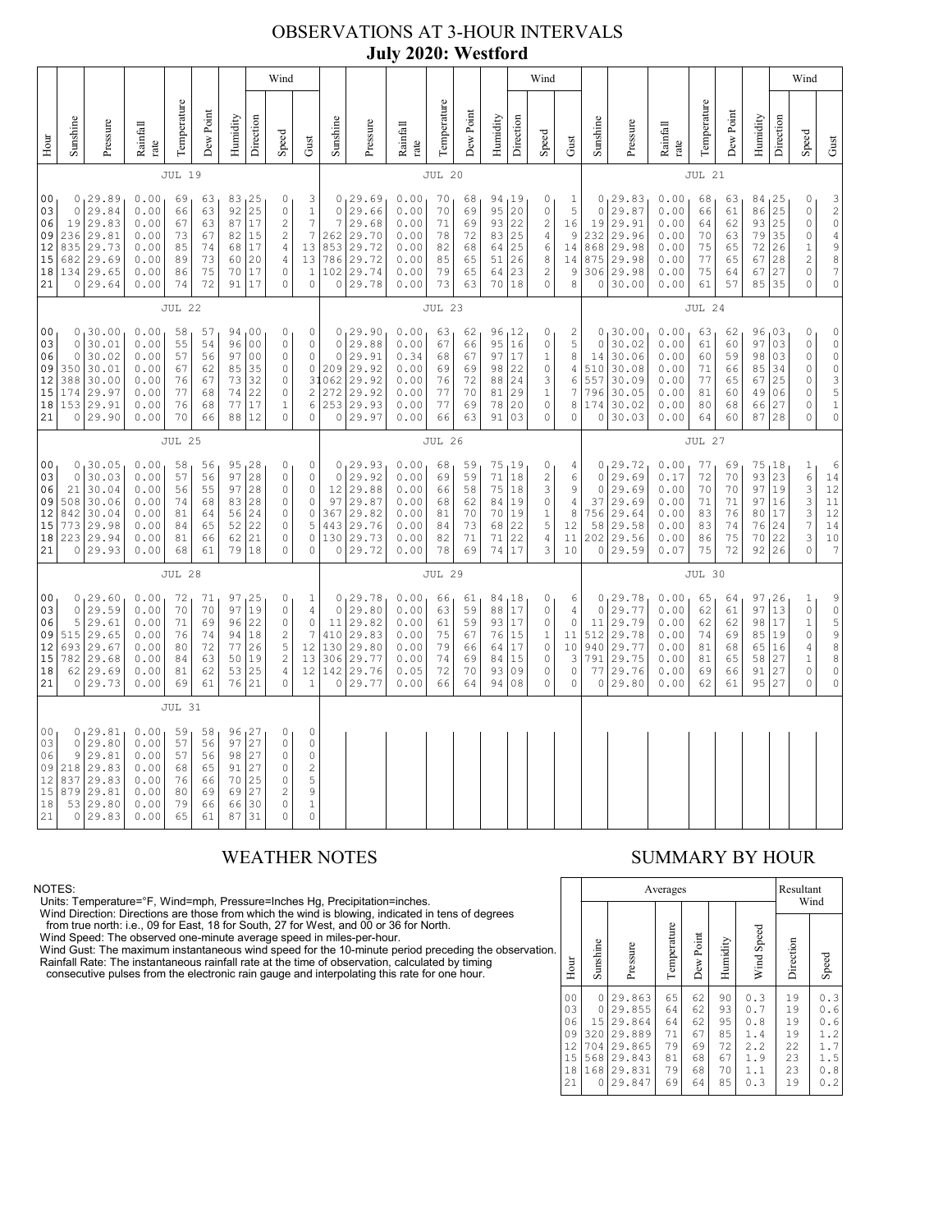## OBSERVATIONS AT 3-HOUR INTERVALS **July 2020: Westford**

|                                                          |                                                                                                                                                                                                                                                                                                                                                                                                                                                                                                                                                                                     |                                                                             |                                                              |                                              |                                              |                                              |                                                                         | Wind                                                                                                 | Wind                                                                              |                                              |                                                                                       |                                                              |                                                  |                                                                                                          |                                                 |                                                          |                                                                                              |                                                                     |                                                         |                                                                         | Wind                                                         |                                              |                                                                                               |                                                                                                                                   |                                               |                                                                                        |                                                                                                          |
|----------------------------------------------------------|-------------------------------------------------------------------------------------------------------------------------------------------------------------------------------------------------------------------------------------------------------------------------------------------------------------------------------------------------------------------------------------------------------------------------------------------------------------------------------------------------------------------------------------------------------------------------------------|-----------------------------------------------------------------------------|--------------------------------------------------------------|----------------------------------------------|----------------------------------------------|----------------------------------------------|-------------------------------------------------------------------------|------------------------------------------------------------------------------------------------------|-----------------------------------------------------------------------------------|----------------------------------------------|---------------------------------------------------------------------------------------|--------------------------------------------------------------|--------------------------------------------------|----------------------------------------------------------------------------------------------------------|-------------------------------------------------|----------------------------------------------------------|----------------------------------------------------------------------------------------------|---------------------------------------------------------------------|---------------------------------------------------------|-------------------------------------------------------------------------|--------------------------------------------------------------|----------------------------------------------|-----------------------------------------------------------------------------------------------|-----------------------------------------------------------------------------------------------------------------------------------|-----------------------------------------------|----------------------------------------------------------------------------------------|----------------------------------------------------------------------------------------------------------|
| Hour                                                     | Sunshine                                                                                                                                                                                                                                                                                                                                                                                                                                                                                                                                                                            | Pressure                                                                    | Rainfall<br>rate                                             | Temperature                                  | Dew Point                                    | Humidity                                     | Direction                                                               | Speed                                                                                                | Gust                                                                              | Sunshine                                     | Pressure                                                                              | Rainfall<br>rate                                             | Temperature                                      | Dew Point                                                                                                | Humidity                                        | Direction                                                | Speed                                                                                        | Gust                                                                | Sunshine                                                | Pressure                                                                | Rainfall<br>rate                                             | Temperature                                  | Dew Point                                                                                     | Humidity                                                                                                                          | Direction                                     | Speed                                                                                  | Gust                                                                                                     |
|                                                          |                                                                                                                                                                                                                                                                                                                                                                                                                                                                                                                                                                                     |                                                                             |                                                              | <b>JUL 19</b>                                |                                              |                                              |                                                                         |                                                                                                      |                                                                                   |                                              |                                                                                       |                                                              | JUL 20                                           |                                                                                                          |                                                 |                                                          |                                                                                              |                                                                     |                                                         |                                                                         |                                                              | JUL 21                                       |                                                                                               |                                                                                                                                   |                                               |                                                                                        |                                                                                                          |
| 0 <sub>0</sub><br>03<br>06<br>09<br>12<br>15<br>18<br>21 | 0, 29.89<br>0.00<br>69<br>83, 25<br>0<br>3<br>63<br>92<br>25<br>$\circ$<br>29.84<br>0.00<br>66<br>63<br>$\mathbb O$<br>$\,1$<br>$\boldsymbol{7}$<br>29.83<br>0.00<br>63<br>87<br>$17$<br>$\sqrt{2}$<br>19<br>67<br>$\boldsymbol{7}$<br>29.81<br>$\sqrt{2}$<br>236<br>0.00<br>73<br>67<br>82<br>15<br>835<br>29.73<br>0.00<br>85<br>74<br>68<br>17<br>$\sqrt{4}$<br>13<br>20<br>13<br>682<br>29.69<br>0.00<br>89<br>73<br>60<br>4<br>29.65<br>134<br>0.00<br>75<br>17<br>86<br>70<br>0<br>$\mathbf{1}$<br>29.64<br>72<br>91<br>17<br>$\circ$<br>$\mathbb O$<br>$\circ$<br>0.00<br>74 |                                                                             |                                                              |                                              |                                              |                                              | $\circ$<br>$\overline{7}$                                               | 0, 29.69<br>29.66<br>29.68<br>262 29.70<br>853 29.72<br>786 29.72<br>102 29.74<br>0 29.78            | 0.00<br>0.00<br>0.00<br>0.00<br>0.00<br>0.00<br>0.00<br>0.00                      | 70<br>70<br>71<br>78<br>82<br>85<br>79<br>73 | 68<br>69<br>69<br>72<br>68<br>65<br>65<br>63                                          | 95<br>93<br>83<br>64<br>51<br>64<br>70                       | 94, 19<br>20<br>22<br>25<br>25<br>26<br>23<br>18 | 0<br>$\mathbb O$<br>$\sqrt{2}$<br>$\overline{4}$<br>$\epsilon$<br>$\,8\,$<br>$\mathbf{2}$<br>$\mathbb O$ | 1<br>5<br>16<br>9<br>14<br>14<br>9<br>$\,8\,$   | $\mathbb O$<br>19<br>232<br>868<br>875<br>306<br>$\circ$ | 0, 29.83<br>29.87<br>29.91<br>29.96<br>29.98<br>29.98<br>29.98<br>30.00                      | 0.00<br>0.00<br>0.00<br>0.00<br>0.00<br>0.00<br>0.00<br>0.00        | 68<br>66<br>64<br>70<br>75<br>77<br>75<br>61            | 63<br>61<br>62<br>63<br>65<br>65<br>64<br>57                            | 84, 25<br>86<br>93<br>79<br>72<br>67<br>67<br>85             | 25<br>25<br>35<br>26<br>28<br>27<br>35       | 0<br>$\mathbb O$<br>$\circ$<br>$\circ$<br>$\mathbf 1$<br>$\overline{c}$<br>$\circ$<br>$\circ$ | $\begin{array}{c} 3 \\ 2 \\ 0 \end{array}$<br>$\begin{array}{c} 4 \\ 9 \\ 8 \end{array}$<br>$\overline{7}$<br>$\mathsf{O}\xspace$ |                                               |                                                                                        |                                                                                                          |
|                                                          | <b>JUL 22</b>                                                                                                                                                                                                                                                                                                                                                                                                                                                                                                                                                                       |                                                                             |                                                              |                                              |                                              |                                              |                                                                         |                                                                                                      |                                                                                   |                                              | <b>JUL 23</b>                                                                         |                                                              |                                                  |                                                                                                          |                                                 |                                                          |                                                                                              |                                                                     |                                                         | JUL 24                                                                  |                                                              |                                              |                                                                                               |                                                                                                                                   |                                               |                                                                                        |                                                                                                          |
| 0 <sub>0</sub><br>03<br>06<br>09<br>12<br>15<br>18<br>21 | $\mathbf 0$<br>$\mathbb O$<br>350<br>388<br>174<br>$\circ$                                                                                                                                                                                                                                                                                                                                                                                                                                                                                                                          | 0, 30.00<br>30.01<br>30.02<br>30.01<br>30.00<br>29.97<br>153 29.91<br>29.90 | 0.00<br>0.00<br>0.00<br>0.00<br>0.00<br>0.00<br>0.00<br>0.00 | 58<br>55<br>57<br>67<br>76<br>77<br>76<br>70 | 57<br>54<br>56<br>62<br>67<br>68<br>68<br>66 | 96<br>97<br>85<br>73<br>74<br>77<br>88       | 94 00<br>0 <sub>0</sub><br>0 <sub>0</sub><br>35<br>32<br>22<br>17<br>12 | 0<br>0<br>0<br>0<br>0<br>$\circ$<br>$\mathbf{1}$<br>$\circ$                                          | $\mathbb O$<br>0<br>$\mathbb O$<br>0<br>$\mathbf{2}$<br>6<br>0                    | $\circ$<br>$\mathbb O$<br>31062<br>272       | 0, 29.90<br>29.88<br>29.91<br>209 29.92<br>29.92<br>29.92<br>253 29.93<br>0 29.97     | 0.00<br>0.00<br>0.34<br>0.00<br>0.00<br>0.00<br>0.00<br>0.00 | 63<br>67<br>68<br>69<br>76<br>77<br>77<br>66     | 62<br>66<br>67<br>69<br>72<br>70<br>69<br>63                                                             | 95<br>97<br>98<br>88<br>81<br>78<br>91          | 96, 12<br>16<br>17<br>22<br>24<br>29<br>20<br>03         | 0<br>$\mathbb O$<br>$\,1\,$<br>0<br>$\ensuremath{\mathsf{3}}$<br>$\,1\,$<br>$\mathbb O$<br>0 | 2<br>5<br>$\,8\,$<br>4<br>$\epsilon$<br>$\overline{7}$<br>8<br>0    | $\circ$<br>14<br>510<br>557<br>796<br>174<br>$\circ$    | 0, 30.00<br>30.02<br>30.06<br>30.08<br>30.09<br>30.05<br>30.02<br>30.03 | 0.00<br>0.00<br>0.00<br>0.00<br>0.00<br>0.00<br>0.00<br>0.00 | 63<br>61<br>60<br>71<br>77<br>81<br>80<br>64 | 62<br>60<br>59<br>66<br>65<br>60<br>68<br>60                                                  | 96<br>97<br>98<br>85<br>67<br>49<br>66<br>87                                                                                      | 103<br>03<br>03<br>34<br>25<br>06<br>27<br>28 | $\mathbb O$<br>$\circ$<br>$\mathbb O$<br>$\circ$<br>$\circ$<br>$\circ$<br>0<br>$\circ$ | $\mathbb O$<br>$\circ$<br>$\begin{array}{c}\n0 \\ 0 \\ 3 \\ 5\n\end{array}$<br>$\overline{1}$<br>$\circ$ |
|                                                          | <b>JUL 25</b>                                                                                                                                                                                                                                                                                                                                                                                                                                                                                                                                                                       |                                                                             |                                                              |                                              |                                              |                                              |                                                                         |                                                                                                      |                                                                                   |                                              | <b>JUL 26</b>                                                                         |                                                              |                                                  |                                                                                                          |                                                 |                                                          |                                                                                              |                                                                     |                                                         | JUL 27                                                                  |                                                              |                                              |                                                                                               |                                                                                                                                   |                                               |                                                                                        |                                                                                                          |
| 00<br>03<br>06<br>09<br>12<br>15<br>18<br>21             | 0<br>21<br>508<br>842<br>773<br>0                                                                                                                                                                                                                                                                                                                                                                                                                                                                                                                                                   | 0, 30.05<br>30.03<br>30.04<br>30.06<br>30.04<br>29.98<br>223 29.94<br>29.93 | 0.00<br>0.00<br>0.00<br>0.00<br>0.00<br>0.00<br>0.00<br>0.00 | 58<br>57<br>56<br>74<br>81<br>84<br>81<br>68 | 56<br>56<br>55<br>68<br>64<br>65<br>66<br>61 | 97<br>97<br>83<br>56<br>52<br>62<br>79       | $95 - 28$<br>28<br>28<br>28<br>24<br>22<br>21<br>18                     | 0<br>$\mathbb O$<br>$\circ$<br>0<br>0<br>$\circ$<br>$\circ$<br>0                                     | 0<br>$\mathbb O$<br>0<br>0<br>0<br>5<br>$\circ$<br>0                              | $\circ$<br>12<br>97                          | 0, 29.93<br>29.92<br>29.88<br>29.87<br>367 29.82<br>443 29.76<br>130 29.73<br>0 29.72 | 0.00<br>0.00<br>0.00<br>0.00<br>0.00<br>0.00<br>0.00<br>0.00 | 68<br>69<br>66<br>68<br>81<br>84<br>82<br>78     | 59<br>59<br>58<br>62<br>70<br>73<br>71<br>69                                                             | 71<br>75<br>84<br>70<br>68<br>71<br>74          | 75, 19<br>18<br>18<br>19<br>19<br>22<br>22<br>17         | 0<br>$\sqrt{2}$<br>3<br>$\mathbb O$<br>$\mathbf{1}$<br>$\mathsf S$<br>$\sqrt{4}$<br>3        | 4<br>6<br>9<br>$\overline{4}$<br>8<br>12<br>11<br>10                | $\circ$<br>$\circ$<br>37<br>756<br>58<br>202<br>$\circ$ | 0, 29.72<br>29.69<br>29.69<br>29.69<br>29.64<br>29.58<br>29.56<br>29.59 | 0.00<br>0.17<br>0.00<br>0.00<br>0.00<br>0.00<br>0.00<br>0.07 | 77<br>72<br>70<br>71<br>83<br>83<br>86<br>75 | 69<br>70<br>70<br>71<br>76<br>74<br>75<br>72                                                  | 75<br>93<br>97<br>97<br>80<br>76<br>70<br>92                                                                                      | 18<br>23<br>19<br>16<br>17<br>24<br>22<br>26  | 1<br>$\epsilon$<br>$\overline{3}$<br>3<br>3<br>$\overline{7}$<br>3<br>$\Omega$         | 6<br>$1\,4$<br>$\overline{12}$<br>$1\,1$<br>12<br>14<br>10<br>$7\overline{ }$                            |
|                                                          |                                                                                                                                                                                                                                                                                                                                                                                                                                                                                                                                                                                     |                                                                             |                                                              | <b>JUL 28</b>                                |                                              |                                              |                                                                         |                                                                                                      |                                                                                   |                                              |                                                                                       |                                                              | <b>JUL 29</b>                                    |                                                                                                          |                                                 |                                                          |                                                                                              |                                                                     |                                                         |                                                                         |                                                              | JUL 30                                       |                                                                                               |                                                                                                                                   |                                               |                                                                                        |                                                                                                          |
| 00<br>03<br>06<br>09<br>12<br>15<br>18<br>21             | $\circ$<br>5<br>515<br>693<br>782<br>62<br>0                                                                                                                                                                                                                                                                                                                                                                                                                                                                                                                                        | 0, 29.60<br>29.59<br>29.61<br>29.65<br>29.67<br>29.68<br> 29.69<br> 29.73   | 0.00<br>0.00<br>0.00<br>0.00<br>0.00<br>0.00<br>0.00<br>0.00 | 72<br>70<br>71<br>76<br>80<br>84<br>81<br>69 | 71<br>70<br>69<br>74<br>72<br>63<br>62<br>61 | 97<br>97<br>96<br>94<br>77<br>50<br>53<br>76 | 125<br>19<br>22<br>18<br>26<br>19<br>25<br>21                           | 0<br>$\circ$<br>$\mathbb O$<br>$\sqrt{2}$<br>5<br>$\overline{c}$<br>$\sqrt{4}$<br>$\Omega$           | $\mathbf{1}$<br>$\sqrt{4}$<br>$\mathbb O$<br>7<br>12<br>13<br>12<br>$1\,$         | $\circ$<br>11<br>410                         | 0, 29.78<br>29.80<br>29.82<br>29.83<br>130 29.80<br>306 29.77<br>142 29.76<br>0 29.77 | 0.00<br>0.00<br>0.00<br>0.00<br>0.00<br>0.00<br>0.05<br>0.00 | 66<br>63<br>61<br>75<br>79<br>74<br>72<br>66     | 61<br>59<br>59<br>67<br>66<br>69<br>70<br>64                                                             | 84,18<br>88<br>93<br>76<br>64<br>84<br>93<br>94 | 17<br>17<br>15<br>17<br>15<br>09<br>08                   | 0<br>$\mathbb O$<br>0<br>$1\,$<br>$\mathbb O$<br>$\mathbb O$<br>$\mathbb O$<br>$\mathbb O$   | 6<br>$\overline{4}$<br>0<br>11<br>10<br>3<br>$\mathbb O$<br>$\circ$ | $\circ$<br>11<br>512<br>940<br>791<br>77<br>0           | 0, 29.78<br>29.77<br>29.79<br>29.78<br>29.77<br>29.75<br>29.76<br>29.80 | 0.00<br>0.00<br>0.00<br>0.00<br>0.00<br>0.00<br>0.00<br>0.00 | 65<br>62<br>62<br>74<br>81<br>81<br>69<br>62 | 64<br>61<br>62<br>69<br>68<br>65<br>66<br>61                                                  | 97<br>97<br>98<br>85<br>65<br>58<br>91<br>95                                                                                      | 26<br>13<br>17<br>19<br>16<br>27<br>27<br>27  | 1<br>$\mathbb O$<br>$1\,$<br>$\mathbb O$<br>$\sqrt{4}$<br>$1\,$<br>$\circ$<br>$\circ$  | $\begin{matrix} 9 \\ 0 \end{matrix}$<br>5988<br>$\mathbb O$<br>$\circ$                                   |
|                                                          |                                                                                                                                                                                                                                                                                                                                                                                                                                                                                                                                                                                     |                                                                             |                                                              | <b>JUL 31</b>                                |                                              |                                              |                                                                         |                                                                                                      |                                                                                   |                                              |                                                                                       |                                                              |                                                  |                                                                                                          |                                                 |                                                          |                                                                                              |                                                                     |                                                         |                                                                         |                                                              |                                              |                                                                                               |                                                                                                                                   |                                               |                                                                                        |                                                                                                          |
| 00<br>03<br>06<br>09<br>12<br>15<br>18<br>21             | 0<br>$\circ$<br>9<br>218<br>837<br>879<br>53<br>$\circ$                                                                                                                                                                                                                                                                                                                                                                                                                                                                                                                             | 129.81<br>29.80<br>29.81<br>29.83<br>29.83<br>29.81<br>29.80<br>29.83       | 0.00<br>0.00<br>0.00<br>0.00<br>0.00<br>0.00<br>0.00<br>0.00 | 59<br>57<br>57<br>68<br>76<br>80<br>79<br>65 | 58<br>56<br>56<br>65<br>66<br>69<br>66<br>61 | 97<br>98<br>91<br>70<br>69<br>66<br>87       | 96 27<br>27<br>27<br>27<br>25<br>27<br>30<br>31                         | $\mathbb O$<br>$\mathbb O$<br>$\mathbb O$<br>$\mathbb O$<br>$\circ$<br>$\mathbf{2}$<br>0<br>$\Omega$ | $\mathbb O$<br>$\mathbb O$<br>$\mathbb O$<br>$\sqrt{2}$<br>5<br>9<br>1<br>$\circ$ |                                              |                                                                                       |                                                              |                                                  |                                                                                                          |                                                 |                                                          |                                                                                              |                                                                     |                                                         |                                                                         |                                                              |                                              |                                                                                               |                                                                                                                                   |                                               |                                                                                        |                                                                                                          |

NOTES:<br>Units: Temperature=°F, Wind=mph, Pressure=Inches Hg, Precipitation=inches.<br>Units: Temperature=°F, Wind=mph, Pressure=Inches Hg, Precipitation=inches.<br>
Yind Direction: Directions are those from which the wind is blow

## WEATHER NOTES SUMMARY BY HOUR

|    |                                                          |                                                      |                                                                              | Averages                                     |                                              |                                              |                                                      | Resultant                                    | Wind                                                      |
|----|----------------------------------------------------------|------------------------------------------------------|------------------------------------------------------------------------------|----------------------------------------------|----------------------------------------------|----------------------------------------------|------------------------------------------------------|----------------------------------------------|-----------------------------------------------------------|
| ì. | Hour                                                     | Sunshine                                             | Pressure                                                                     | Temperature                                  | Dew Point                                    | Humidity                                     | Wind Speed                                           | Direction                                    | Speed                                                     |
|    | 0 <sub>0</sub><br>03<br>06<br>09<br>12<br>15<br>18<br>21 | 0<br>0<br>15<br>320<br>704<br>568<br>168<br>$\Omega$ | 29.863<br>29.855<br>29.864<br>29.889<br>29.865<br>29.843<br>29.831<br>29.847 | 65<br>64<br>64<br>71<br>79<br>81<br>79<br>69 | 62<br>62<br>62<br>67<br>69<br>68<br>68<br>64 | 90<br>93<br>95<br>85<br>72<br>67<br>70<br>85 | 0.3<br>0.7<br>0.8<br>1.4<br>2.2<br>1.9<br>1.1<br>0.3 | 19<br>19<br>19<br>19<br>22<br>23<br>23<br>19 | 0.3<br>0.6<br>0<br>. 6<br>1.2<br>1.7<br>1.5<br>0.8<br>0.2 |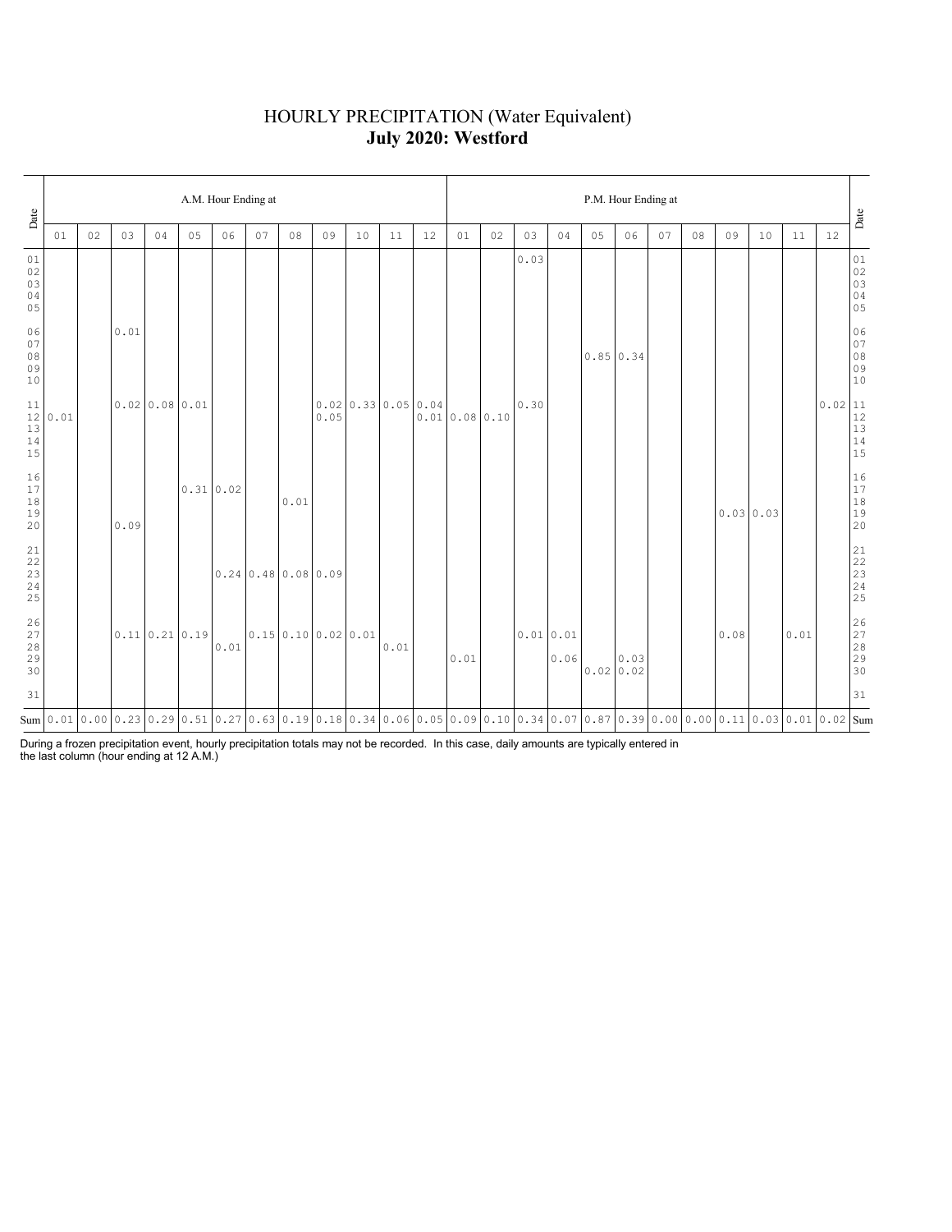# HOURLY PRECIPITATION (Water Equivalent) **July 2020: Westford**

| Date                                                      |      |    |      |                |    | A.M. Hour Ending at |                                          |      |                                      |    |                                      |    | P.M. Hour Ending at                                                                                                             |    |      |                  |                  |      |    |    |      |           |      |                                                                          |                                  |
|-----------------------------------------------------------|------|----|------|----------------|----|---------------------|------------------------------------------|------|--------------------------------------|----|--------------------------------------|----|---------------------------------------------------------------------------------------------------------------------------------|----|------|------------------|------------------|------|----|----|------|-----------|------|--------------------------------------------------------------------------|----------------------------------|
|                                                           | 01   | 02 | 03   | 04             | 05 | 06                  | 07                                       | 08   | 09                                   | 10 | 11                                   | 12 | 01                                                                                                                              | 02 | 03   | 04               | 05               | 06   | 07 | 08 | 09   | 10        | 11   | 12                                                                       | Date                             |
| 01<br>02<br>03<br>04<br>05                                |      |    |      |                |    |                     |                                          |      |                                      |    |                                      |    |                                                                                                                                 |    | 0.03 |                  |                  |      |    |    |      |           |      |                                                                          | 01<br>02<br>03<br>03<br>04<br>05 |
| 06<br>07<br>08<br>09<br>10                                |      |    | 0.01 |                |    |                     |                                          |      |                                      |    |                                      |    |                                                                                                                                 |    |      |                  | $0.85 \mid 0.34$ |      |    |    |      |           |      |                                                                          | 06<br>07<br>08<br>09<br>09<br>10 |
| 11<br>12<br>13<br>$14$<br>15                              | 0.01 |    |      | 0.0200.0800.01 |    |                     |                                          |      | 0.05                                 |    | $0.02 \mid 0.33 \mid 0.05 \mid 0.04$ |    | 0.010.080.10                                                                                                                    |    | 0.30 |                  |                  |      |    |    |      |           |      | $\begin{array}{r l} 0.02 & 11 \\ 12 & 13 \\ 13 & 14 \\ 15 & \end{array}$ |                                  |
| 16<br>17<br>18<br>19<br>20                                |      |    | 0.09 |                |    | 0.31 0.02           |                                          | 0.01 |                                      |    |                                      |    |                                                                                                                                 |    |      |                  |                  |      |    |    |      | 0.0300.03 |      |                                                                          | 16<br>17<br>18<br>19<br>19<br>20 |
| 21<br>22<br>$\begin{array}{c} 23 \\ 24 \end{array}$<br>25 |      |    |      |                |    |                     | $0.24 \times 48 \times 0.08 \times 0.09$ |      |                                      |    |                                      |    |                                                                                                                                 |    |      |                  |                  |      |    |    |      |           |      |                                                                          |                                  |
| $\frac{26}{27}$<br>28<br>29<br>30                         |      |    |      | 0.11 0.21 0.19 |    | 0.01                |                                          |      | $0.15 \mid 0.10 \mid 0.02 \mid 0.01$ |    | 0.01                                 |    | 0.01                                                                                                                            |    |      | 0.010.01<br>0.06 | 0.0200.02        | 0.03 |    |    | 0.08 |           | 0.01 |                                                                          | 26<br>27<br>28<br>29<br>29<br>30 |
| 31                                                        |      |    |      |                |    |                     |                                          |      |                                      |    |                                      |    |                                                                                                                                 |    |      |                  |                  |      |    |    |      |           |      |                                                                          | 31                               |
|                                                           |      |    |      |                |    |                     |                                          |      |                                      |    |                                      |    | Sum 0.01 0.00 0.23 0.29 0.51 0.27 0.63 0.19 0.18 0.34 0.06 0.05 0.09 0.10 0.34 0.07 0.87 0.39 0.00 0.00 0.11 0.03 0.01 0.02 Sum |    |      |                  |                  |      |    |    |      |           |      |                                                                          |                                  |

During a frozen precipitation event, hourly precipitation totals may not be recorded. In this case, daily amounts are typically entered in the last column (hour ending at 12 A.M.)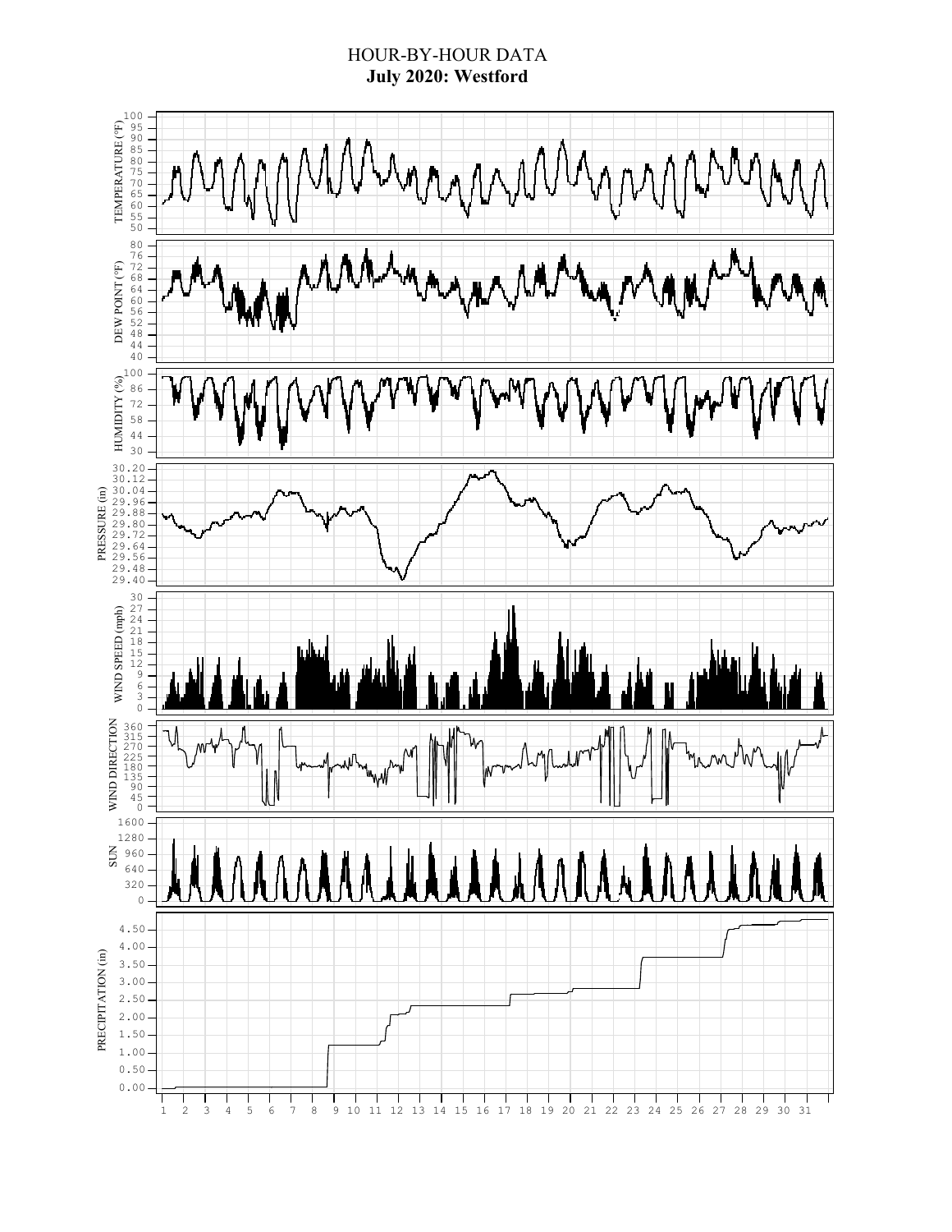## HOUR-BY-HOUR DATA **July 2020: Westford**